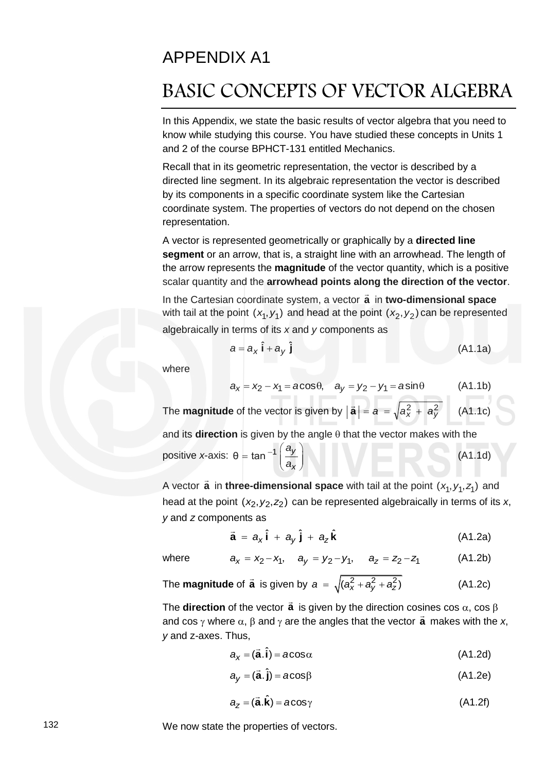## APPENDIX A1

# BASIC CONCEPTS OF VECTOR ALGEBRA

In this Appendix, we state the basic results of vector algebra that you need to know while studying this course. You have studied these concepts in Units 1 and 2 of the course BPHCT-131 entitled Mechanics.

Recall that in its geometric representation, the vector is described by a directed line segment. In its algebraic representation the vector is described by its components in a specific coordinate system like the Cartesian coordinate system. The properties of vectors do not depend on the chosen representation.

A vector is represented geometrically or graphically by a **directed line segment** or an arrow, that is, a straight line with an arrowhead. The length of the arrow represents the **magnitude** of the vector quantity, which is a positive scalar quantity and the **arrowhead points along the direction of the vector**.

In the Cartesian coordinate system, a vector **a**  $\overline{a}$  in **two-dimensional space** with tail at the point  $(x_1, y_1)$  and head at the point  $(x_2, y_2)$  can be represented algebraically in terms of its *x* and *y* components as

$$
a = a_x \hat{\mathbf{i}} + a_y \hat{\mathbf{j}} \tag{A1.1a}
$$

where

$$
a_x = x_2 - x_1 = a\cos\theta, \quad a_y = y_2 - y_1 = a\sin\theta \quad (A1.1b)
$$

The **magnitude** of the vector is given by  $|\vec{a}| = a = \sqrt{a_x^2 + a_y^2}$  (A1.1c) and its **direction** is given by the angle  $\theta$  that the vector makes with the positive *x*-axis: θ = tan<sup>-1</sup>  $\frac{dy}{dx}$ *x a a*  $-1\left(\begin{array}{c}a_y\end{array}\right)$  $=$  tan<sup>-1</sup>  $\left(\frac{y}{a_x}\right)$ (A1.1d)

A vector **a**  $\overline{a}$ in **three-dimensional space** with tail at the point  $(x_1, y_1, z_1)$  and head at the point (x<sub>2</sub>, y<sub>2</sub>, z<sub>2</sub>) can be represented algebraically in terms of its x, *y* and *z* components as

$$
\vec{a} = a_x \hat{i} + a_y \hat{j} + a_z \hat{k}
$$
 (A1.2a)

where

$$
a = a_x I + a_y J + a_z K
$$
 (A1.2a)  

$$
a_x = x_2 - x_1, \quad a_y = y_2 - y_1, \quad a_z = z_2 - z_1
$$
 (A1.2b)

The **magnitude** of 
$$
\vec{a}
$$
 is given by  $a = \sqrt{(a_x^2 + a_y^2 + a_z^2)}$  (A1.2c)

The **direction** of the vector **a**  $\vec{\mathbf{a}}$  is given by the direction cosines cos  $\alpha$ , cos  $\beta$ and cos  $\gamma$  where  $\alpha$ ,  $\beta$  and  $\gamma$  are the angles that the vector  $\vec{a}$  $\ddot{ }$  makes with the *x*, *y* and z*-*axes. Thus,

$$
a_{x} = (\vec{a}.\hat{i}) = a\cos\alpha
$$
 (A1.2d)

$$
a_y = (\vec{a}.\hat{j}) = a\cos\beta \tag{A1.2e}
$$

$$
a_{z} = (\vec{a}.\hat{k}) = a\cos\gamma
$$
 (A1.2f)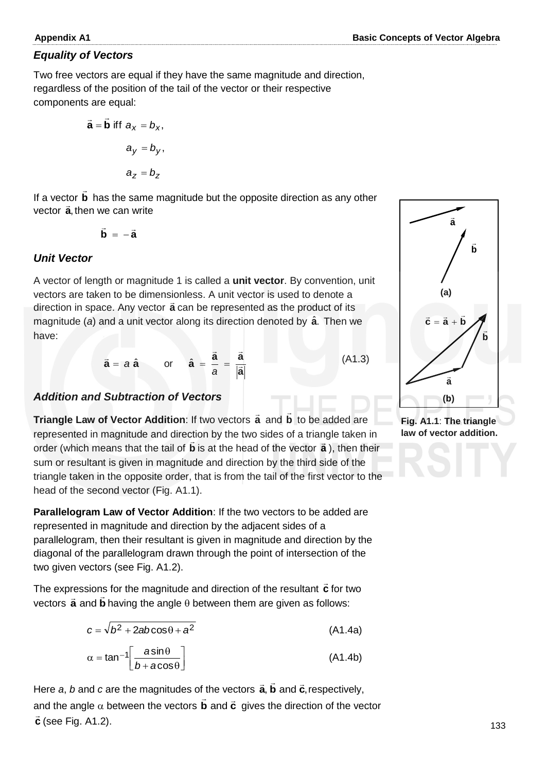## *Equality of Vectors*

Two free vectors are equal if they have the same magnitude and direction, regardless of the position of the tail of the vector or their respective components are equal:

$$
\vec{a} = \vec{b} \text{ iff } a_x = b_x,
$$
  

$$
a_y = b_y,
$$
  

$$
a_z = b_z
$$

If a vector **b**  $\overline{a}$  has the same magnitude but the opposite direction as any other vector **a**, then we can write

$$
\vec{\mathbf{b}} = -\vec{\mathbf{a}}
$$

## *Unit Vector*

A vector of length or magnitude 1 is called a **unit vector**. By convention, unit vectors are taken to be dimensionless. A unit vector is used to denote a direction in space. Any vector **a** can be represented as the product of its magnitude (*a*) and a unit vector along its direction denoted by **a** ˆ . Then we have:

$$
\vec{a} = a \hat{a}
$$
 or  $\hat{a} = \frac{\vec{a}}{a} = \frac{\vec{a}}{|\vec{a}|}$  (A1.3)

### *Addition and Subtraction of Vectors*

**Triangle Law of Vector Addition:** If two vectors **a** and **b**  $\overline{\phantom{a}}$  to be added are represented in magnitude and direction by the two sides of a triangle taken in order (which means that the tail of **b** is at the head of the vector **a** ), then their sum or resultant is given in magnitude and direction by the third side of the triangle taken in the opposite order, that is from the tail of the first vector to the head of the second vector (Fig. A1.1).

**Parallelogram Law of Vector Addition**: If the two vectors to be added are represented in magnitude and direction by the adjacent sides of a parallelogram, then their resultant is given in magnitude and direction by the diagonal of the parallelogram drawn through the point of intersection of the two given vectors (see Fig. A1.2).

The expressions for the magnitude and direction of the resultant **c**  $\rightarrow$ is for the magnitude and direction of the resultant  $\vec{c}$  for two  $\frac{1}{10}$  or procedule for the magnitude direction of the recentant  $\bullet$  is the vectors  $\vec{a}$  and  $\vec{b}$  having the angle  $\theta$  between them are given as follows:

$$
c = \sqrt{b^2 + 2ab\cos\theta + a^2}
$$
 (A1.4a)

$$
\alpha = \tan^{-1} \left[ \frac{a \sin \theta}{b + a \cos \theta} \right] \tag{A1.4b}
$$

Here *a, b* and *c* are the magnitudes of the vectors  $\vec{\bf a}$ ,  $\vec{\bf b}$  and  $\vec{\bf c}$ , respectively, and the angle  $\alpha$  between the vectors **b** and  $\vec{\mathbf{c}}$  $\vec{b}$  and  $\vec{c}$  gives the direction of the vector **c** Ļ (see Fig. A1.2).



**Fig. A1.1**: **The triangle law of vector addition.**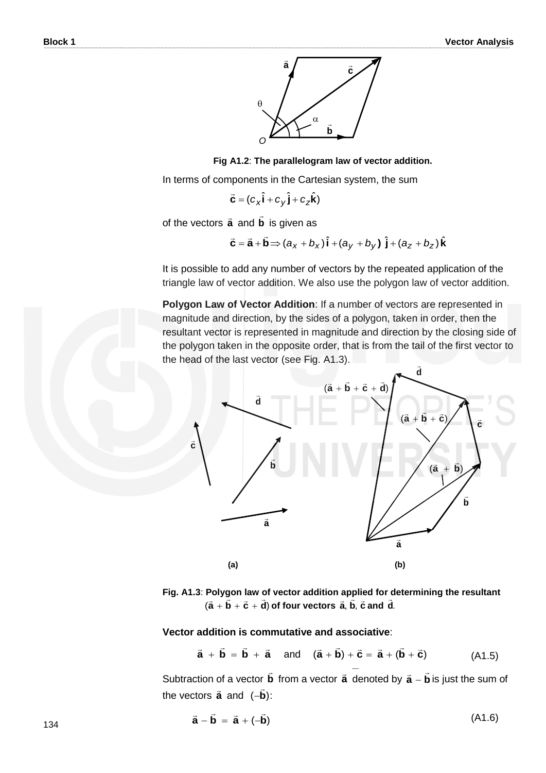

 **Fig A1.2**: **The parallelogram law of vector addition.**

In terms of components in the Cartesian system, the sum

$$
\vec{\mathbf{C}} = (c_x \hat{\mathbf{i}} + c_y \hat{\mathbf{j}} + c_z \hat{\mathbf{k}})
$$

of the vectors **a** and **b**  $\overline{\phantom{a}}$ is given as

$$
\vec{c} = \vec{a} + \vec{b} \Longrightarrow (a_x + b_x) \hat{i} + (a_y + b_y) \hat{j} + (a_z + b_z) \hat{k}
$$

It is possible to add any number of vectors by the repeated application of the triangle law of vector addition. We also use the polygon law of vector addition.

**Polygon Law of Vector Addition**: If a number of vectors are represented in magnitude and direction, by the sides of a polygon, taken in order, then the resultant vector is represented in magnitude and direction by the closing side of the polygon taken in the opposite order, that is from the tail of the first vector to the head of the last vector (see Fig. A1.3).  $\overline{a}$ 



**Fig. A1.3**: **Polygon law of vector addition applied for determining the resultant**   $(\vec{a} + \vec{b} + \vec{c} + \vec{d})$  of four vectors  $\vec{a}$ ,  $\vec{b}$ ,  $\vec{c}$  and  $\vec{d}$ .

#### **Vector addition is commutative and associative**:

$$
\vec{a} + \vec{b} = \vec{b} + \vec{a} \quad \text{and} \quad (\vec{a} + \vec{b}) + \vec{c} = \vec{a} + (\vec{b} + \vec{c}) \tag{A1.5}
$$

− Subtraction of a vector **b**  $\overline{\phantom{a}}$ from a vector  $\vec{a}$  denoted by  $\vec{a} - \vec{b}$ is just the sum of the vectors  $\vec{a}$  and  $(-\vec{b})$ : .<br>–

$$
\vec{\mathbf{a}} - \vec{\mathbf{b}} = \vec{\mathbf{a}} + (-\vec{\mathbf{b}})
$$
 (A1.6)